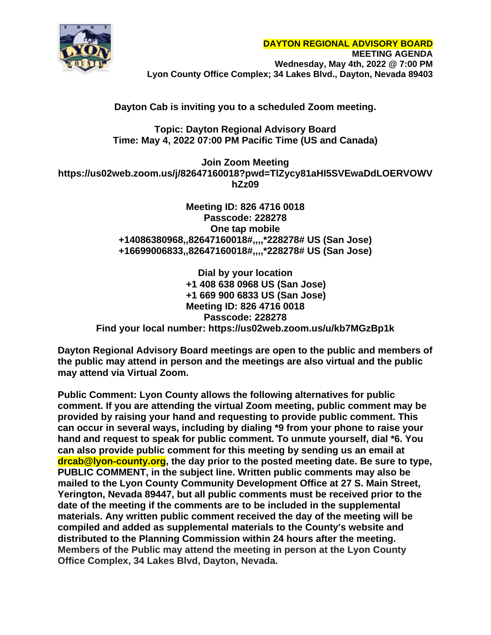

## **Dayton Cab is inviting you to a scheduled Zoom meeting.**

## **Topic: Dayton Regional Advisory Board Time: May 4, 2022 07:00 PM Pacific Time (US and Canada)**

**Join Zoom Meeting https://us02web.zoom.us/j/82647160018?pwd=TlZycy81aHI5SVEwaDdLOERVOWV hZz09**

> **Meeting ID: 826 4716 0018 Passcode: 228278 One tap mobile +14086380968,,82647160018#,,,,\*228278# US (San Jose) +16699006833,,82647160018#,,,,\*228278# US (San Jose)**

**Dial by your location +1 408 638 0968 US (San Jose) +1 669 900 6833 US (San Jose) Meeting ID: 826 4716 0018 Passcode: 228278 Find your local number: https://us02web.zoom.us/u/kb7MGzBp1k**

**Dayton Regional Advisory Board meetings are open to the public and members of the public may attend in person and the meetings are also virtual and the public may attend via Virtual Zoom.**

**Public Comment: Lyon County allows the following alternatives for public comment. If you are attending the virtual Zoom meeting, public comment may be provided by raising your hand and requesting to provide public comment. This can occur in several ways, including by dialing \*9 from your phone to raise your hand and request to speak for public comment. To unmute yourself, dial \*6. You can also provide public comment for this meeting by sending us an email at drcab@lyon-county.org, the day prior to the posted meeting date. Be sure to type, PUBLIC COMMENT, in the subject line. Written public comments may also be mailed to the Lyon County Community Development Office at 27 S. Main Street, Yerington, Nevada 89447, but all public comments must be received prior to the date of the meeting if the comments are to be included in the supplemental materials. Any written public comment received the day of the meeting will be compiled and added as supplemental materials to the County's website and distributed to the Planning Commission within 24 hours after the meeting. Members of the Public may attend the meeting in person at the Lyon County Office Complex, 34 Lakes Blvd, Dayton, Nevada.**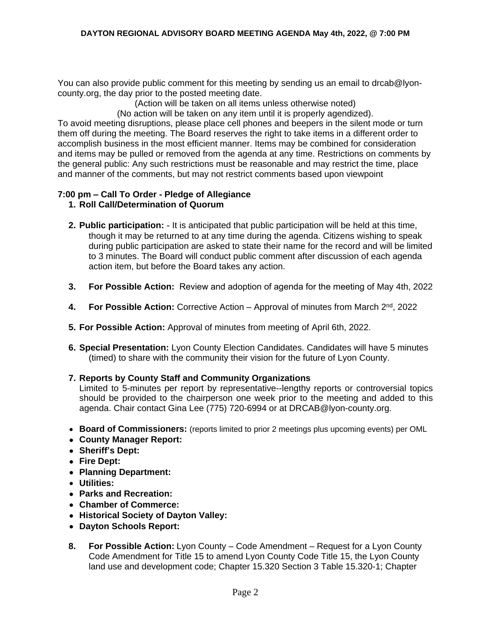You can also provide public comment for this meeting by sending us an email to drcab@lyoncounty.org, the day prior to the posted meeting date.

(Action will be taken on all items unless otherwise noted)

(No action will be taken on any item until it is properly agendized).

To avoid meeting disruptions, please place cell phones and beepers in the silent mode or turn them off during the meeting. The Board reserves the right to take items in a different order to accomplish business in the most efficient manner. Items may be combined for consideration and items may be pulled or removed from the agenda at any time. Restrictions on comments by the general public: Any such restrictions must be reasonable and may restrict the time, place and manner of the comments, but may not restrict comments based upon viewpoint

# **7:00 pm – Call To Order - Pledge of Allegiance**

- **1. Roll Call/Determination of Quorum**
- **2. Public participation:** It is anticipated that public participation will be held at this time, though it may be returned to at any time during the agenda. Citizens wishing to speak during public participation are asked to state their name for the record and will be limited to 3 minutes. The Board will conduct public comment after discussion of each agenda action item, but before the Board takes any action.
- **3. For Possible Action:** Review and adoption of agenda for the meeting of May 4th, 2022
- **4. For Possible Action:** Corrective Action Approval of minutes from March 2nd, 2022
- **5. For Possible Action:** Approval of minutes from meeting of April 6th, 2022.
- **6. Special Presentation:** Lyon County Election Candidates. Candidates will have 5 minutes (timed) to share with the community their vision for the future of Lyon County.
- **7. Reports by County Staff and Community Organizations**

Limited to 5-minutes per report by representative--lengthy reports or controversial topics should be provided to the chairperson one week prior to the meeting and added to this agenda. Chair contact Gina Lee (775) 720-6994 or at [DRCAB@lyon-county.org.](mailto:DRCAB@lyon-county.org)

- **Board of Commissioners:** (reports limited to prior 2 meetings plus upcoming events) per OML
- **County Manager Report:**
- **Sheriff's Dept:**
- **Fire Dept:**
- **Planning Department:**
- **Utilities:**
- **Parks and Recreation:**
- **Chamber of Commerce:**
- **Historical Society of Dayton Valley:**
- **Dayton Schools Report:**
- **8. For Possible Action:** Lyon County Code Amendment Request for a Lyon County Code Amendment for Title 15 to amend Lyon County Code Title 15, the Lyon County land use and development code; Chapter 15.320 Section 3 Table 15.320-1; Chapter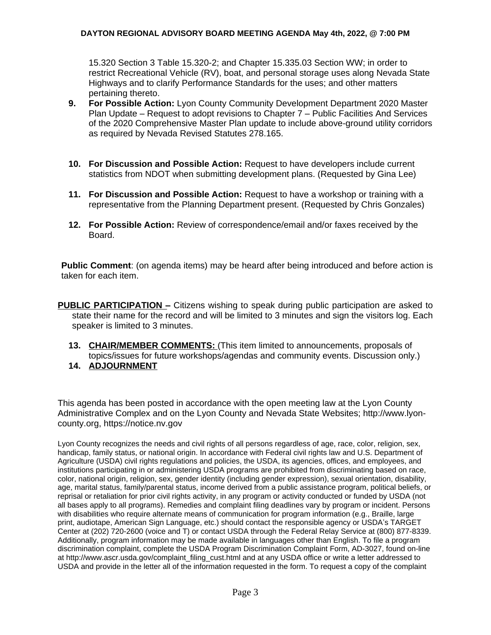### **DAYTON REGIONAL ADVISORY BOARD MEETING AGENDA May 4th, 2022, @ 7:00 PM**

15.320 Section 3 Table 15.320-2; and Chapter 15.335.03 Section WW; in order to restrict Recreational Vehicle (RV), boat, and personal storage uses along Nevada State Highways and to clarify Performance Standards for the uses; and other matters pertaining thereto.

- **9. For Possible Action:** Lyon County Community Development Department 2020 Master Plan Update – Request to adopt revisions to Chapter 7 – Public Facilities And Services of the 2020 Comprehensive Master Plan update to include above-ground utility corridors as required by Nevada Revised Statutes 278.165.
- **10. For Discussion and Possible Action:** Request to have developers include current statistics from NDOT when submitting development plans. (Requested by Gina Lee)
- **11. For Discussion and Possible Action:** Request to have a workshop or training with a representative from the Planning Department present. (Requested by Chris Gonzales)
- **12. For Possible Action:** Review of correspondence/email and/or faxes received by the Board.

**Public Comment**: (on agenda items) may be heard after being introduced and before action is taken for each item.

- **PUBLIC PARTICIPATION –** Citizens wishing to speak during public participation are asked to state their name for the record and will be limited to 3 minutes and sign the visitors log. Each speaker is limited to 3 minutes.
	- **13. CHAIR/MEMBER COMMENTS:** (This item limited to announcements, proposals of topics/issues for future workshops/agendas and community events. Discussion only.)
	- **14. ADJOURNMENT**

This agenda has been posted in accordance with the open meeting law at the Lyon County Administrative Complex and on the Lyon County and Nevada State Websites; http://www.lyoncounty.org, https://notice.nv.gov

Lyon County recognizes the needs and civil rights of all persons regardless of age, race, color, religion, sex, handicap, family status, or national origin. In accordance with Federal civil rights law and U.S. Department of Agriculture (USDA) civil rights regulations and policies, the USDA, its agencies, offices, and employees, and institutions participating in or administering USDA programs are prohibited from discriminating based on race, color, national origin, religion, sex, gender identity (including gender expression), sexual orientation, disability, age, marital status, family/parental status, income derived from a public assistance program, political beliefs, or reprisal or retaliation for prior civil rights activity, in any program or activity conducted or funded by USDA (not all bases apply to all programs). Remedies and complaint filing deadlines vary by program or incident. Persons with disabilities who require alternate means of communication for program information (e.g., Braille, large print, audiotape, American Sign Language, etc.) should contact the responsible agency or USDA's TARGET Center at (202) 720-2600 (voice and T) or contact USDA through the Federal Relay Service at (800) 877-8339. Additionally, program information may be made available in languages other than English. To file a program discrimination complaint, complete the USDA Program Discrimination Complaint Form, AD-3027, found on-line at http://www.ascr.usda.gov/complaint\_filing\_cust.html and at any USDA office or write a letter addressed to USDA and provide in the letter all of the information requested in the form. To request a copy of the complaint